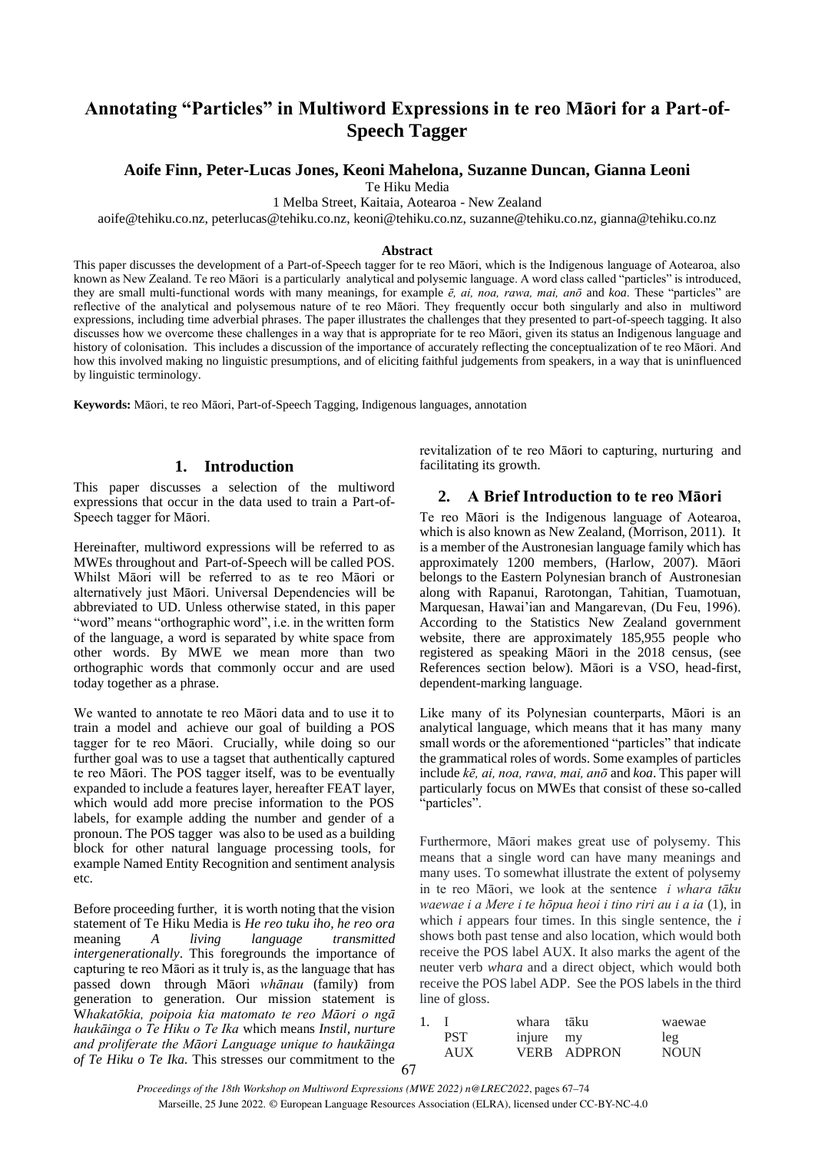# **Annotating "Particles" in Multiword Expressions in te reo Māori for a Part-of-Speech Tagger**

## **Aoife Finn, Peter-Lucas Jones, Keoni Mahelona, Suzanne Duncan, Gianna Leoni**

Te Hiku Media

1 Melba Street, Kaitaia, Aotearoa - New Zealand

aoife@tehiku.co.nz, peterlucas@tehiku.co.nz, keoni@tehiku.co.nz, suzanne@tehiku.co.nz, gianna@tehiku.co.nz

#### **Abstract**

This paper discusses the development of a Part-of-Speech tagger for te reo Māori, which is the Indigenous language of Aotearoa, also known as New Zealand. Te reo Māori is a particularly analytical and polysemic language. A word class called "particles" is introduced, they are small multi-functional words with many meanings, for example *ē, ai, noa, rawa, mai, anō* and *koa*. These "particles" are reflective of the analytical and polysemous nature of te reo Māori. They frequently occur both singularly and also in multiword expressions, including time adverbial phrases. The paper illustrates the challenges that they presented to part-of-speech tagging. It also discusses how we overcome these challenges in a way that is appropriate for te reo Māori, given its status an Indigenous language and history of colonisation. This includes a discussion of the importance of accurately reflecting the conceptualization of te reo Māori. And how this involved making no linguistic presumptions, and of eliciting faithful judgements from speakers, in a way that is uninfluenced by linguistic terminology.

**Keywords:** Māori, te reo Māori, Part-of-Speech Tagging, Indigenous languages, annotation

## **1. Introduction**

This paper discusses a selection of the multiword expressions that occur in the data used to train a Part-of-Speech tagger for Māori.

Hereinafter, multiword expressions will be referred to as MWEs throughout and Part-of-Speech will be called POS. Whilst Māori will be referred to as te reo Māori or alternatively just Māori. Universal Dependencies will be abbreviated to UD. Unless otherwise stated, in this paper "word" means "orthographic word", i.e. in the written form of the language, a word is separated by white space from other words. By MWE we mean more than two orthographic words that commonly occur and are used today together as a phrase.

We wanted to annotate te reo Māori data and to use it to train a model and achieve our goal of building a POS tagger for te reo Māori. Crucially, while doing so our further goal was to use a tagset that authentically captured te reo Māori. The POS tagger itself, was to be eventually expanded to include a features layer, hereafter FEAT layer, which would add more precise information to the POS labels, for example adding the number and gender of a pronoun. The POS tagger was also to be used as a building block for other natural language processing tools, for example Named Entity Recognition and sentiment analysis etc.

67 Before proceeding further, it is worth noting that the vision statement of Te Hiku Media is *He reo tuku iho, he reo ora* meaning *A living language transmitted intergenerationally*. This foregrounds the importance of capturing te reo Māori as it truly is, as the language that has passed down through Māori *whānau* (family) from generation to generation. Our mission statement is W*hakatōkia, poipoia kia matomato te reo Māori o ngā haukāinga o Te Hiku o Te Ika* which means *Instil, nurture and proliferate the Māori Language unique to haukāinga of Te Hiku o Te Ika.* This stresses our commitment to the

revitalization of te reo Māori to capturing, nurturing and facilitating its growth.

#### **2. A Brief Introduction to te reo Māori**

Te reo Māori is the Indigenous language of Aotearoa, which is also known as New Zealand, (Morrison, 2011). It is a member of the Austronesian language family which has approximately 1200 members, (Harlow, 2007). Māori belongs to the Eastern Polynesian branch of Austronesian along with Rapanui, Rarotongan, Tahitian, Tuamotuan, Marquesan, Hawai'ian and Mangarevan, (Du Feu, 1996). According to the Statistics New Zealand government website, there are approximately 185,955 people who registered as speaking Māori in the 2018 census, (see References section below). Māori is a VSO, head-first, dependent-marking language.

Like many of its Polynesian counterparts, Māori is an analytical language, which means that it has many many small words or the aforementioned "particles" that indicate the grammatical roles of words. Some examples of particles include *kē, ai, noa, rawa, mai, anō* and *koa*. This paper will particularly focus on MWEs that consist of these so-called "particles".

Furthermore, Māori makes great use of polysemy. This means that a single word can have many meanings and many uses. To somewhat illustrate the extent of polysemy in te reo Māori, we look at the sentence *i whara tāku waewae i a Mere i te hōpua heoi i tino riri au i a ia* (1), in which *i* appears four times. In this single sentence, the *i* shows both past tense and also location, which would both receive the POS label AUX. It also marks the agent of the neuter verb *whara* and a direct object, which would both receive the POS label ADP. See the POS labels in the third line of gloss.

|      | whara tāku |             | waewae      |
|------|------------|-------------|-------------|
| PST. | injure my  |             | leg         |
| AUX  |            | VERB ADPRON | <b>NOUN</b> |

*Proceedings of the 18th Workshop on Multiword Expressions (MWE 2022) n@LREC2022*, pages 67–74 Marseille, 25 June 2022. © European Language Resources Association (ELRA), licensed under CC-BY-NC-4.0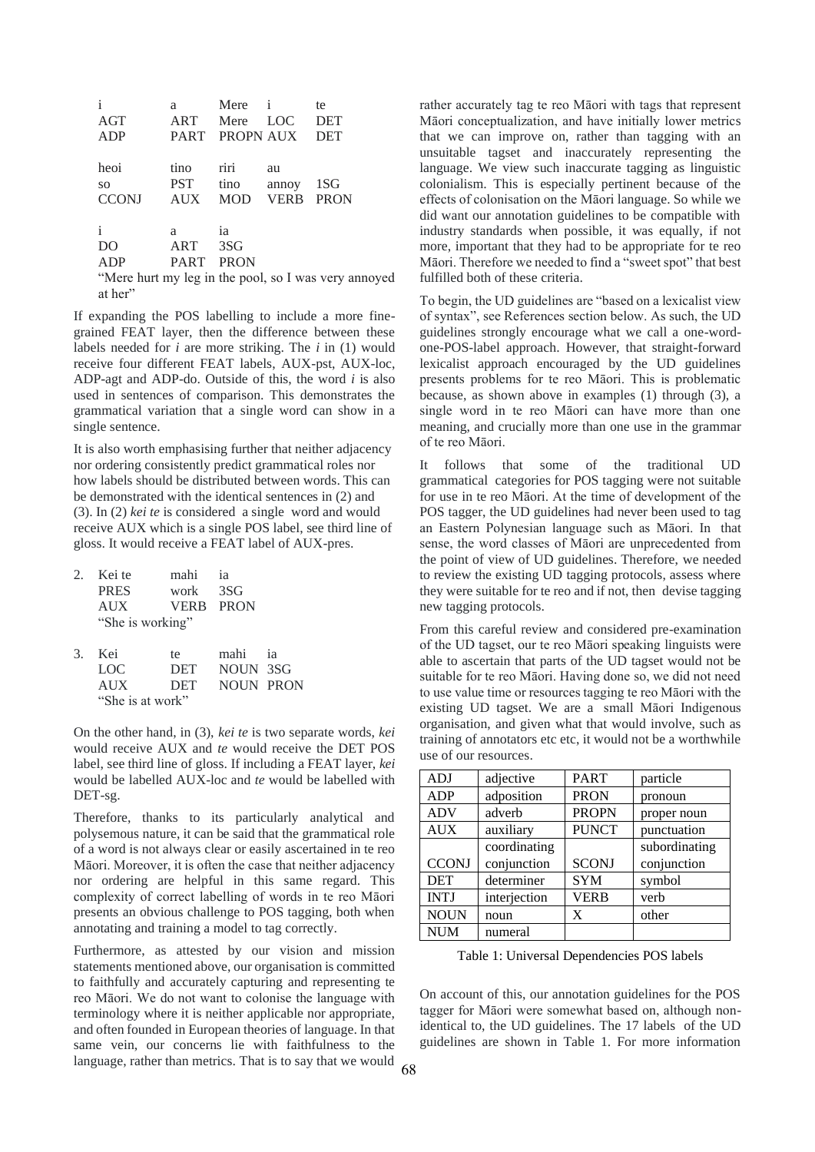| $\mathbf{i}$  | a           | Mere           | $\mathbf{i}$ | te                                                   |
|---------------|-------------|----------------|--------------|------------------------------------------------------|
| AGT           | ART         | Mere           | <b>LOC</b>   | <b>DET</b>                                           |
| ADP           |             | PART PROPN AUX |              | <b>DET</b>                                           |
|               |             |                |              |                                                      |
| heoi          | tino        | riri           | au           |                                                      |
| <sub>SO</sub> | <b>PST</b>  | tino           | annoy        | 1SG                                                  |
| <b>CCONJ</b>  | <b>AUX</b>  | <b>MOD</b>     | <b>VERB</b>  | <b>PRON</b>                                          |
|               |             |                |              |                                                      |
| $\mathbf{i}$  | a           | <i>ia</i>      |              |                                                      |
| DO            | ART         | 3SG            |              |                                                      |
| ADP           | <b>PART</b> | <b>PRON</b>    |              |                                                      |
|               |             |                |              | "Mere hurt my leg in the pool, so I was very annoyed |

at her"

If expanding the POS labelling to include a more finegrained FEAT layer, then the difference between these labels needed for *i* are more striking. The *i* in (1) would receive four different FEAT labels, AUX-pst, AUX-loc, ADP-agt and ADP-do. Outside of this, the word *i* is also used in sentences of comparison. This demonstrates the grammatical variation that a single word can show in a single sentence.

It is also worth emphasising further that neither adjacency nor ordering consistently predict grammatical roles nor how labels should be distributed between words. This can be demonstrated with the identical sentences in (2) and (3). In (2) *kei te* is considered a single word and would receive AUX which is a single POS label, see third line of gloss. It would receive a FEAT label of AUX-pres.

| 2. | Kei te           | mahi             | <i>ia</i>        |           |
|----|------------------|------------------|------------------|-----------|
|    | <b>PRES</b>      | work             | - 3SG            |           |
|    | <b>AUX</b>       | <b>VERB PRON</b> |                  |           |
|    | "She is working" |                  |                  |           |
| 3. | Kei              | te               | mahi             | <i>ia</i> |
|    | LOC              | <b>DET</b>       | NOUN 3SG         |           |
|    | <b>AUX</b>       | <b>DET</b>       | <b>NOUN PRON</b> |           |
|    | "She is at work" |                  |                  |           |

On the other hand, in (3), *kei te* is two separate words, *kei* would receive AUX and *te* would receive the DET POS label, see third line of gloss. If including a FEAT layer, *kei* would be labelled AUX-loc and *te* would be labelled with DET-sg.

Therefore, thanks to its particularly analytical and polysemous nature, it can be said that the grammatical role of a word is not always clear or easily ascertained in te reo Māori. Moreover, it is often the case that neither adjacency nor ordering are helpful in this same regard. This complexity of correct labelling of words in te reo Māori presents an obvious challenge to POS tagging, both when annotating and training a model to tag correctly.

Furthermore, as attested by our vision and mission statements mentioned above, our organisation is committed to faithfully and accurately capturing and representing te reo Māori. We do not want to colonise the language with terminology where it is neither applicable nor appropriate, and often founded in European theories of language. In that same vein, our concerns lie with faithfulness to the language, rather than metrics. That is to say that we would

rather accurately tag te reo Māori with tags that represent Māori conceptualization, and have initially lower metrics that we can improve on, rather than tagging with an unsuitable tagset and inaccurately representing the language. We view such inaccurate tagging as linguistic colonialism. This is especially pertinent because of the effects of colonisation on the Māori language. So while we did want our annotation guidelines to be compatible with industry standards when possible, it was equally, if not more, important that they had to be appropriate for te reo Māori. Therefore we needed to find a "sweet spot" that best fulfilled both of these criteria.

To begin, the UD guidelines are "based on a lexicalist view of syntax", see References section below. As such, the UD guidelines strongly encourage what we call a one-wordone-POS-label approach. However, that straight-forward lexicalist approach encouraged by the UD guidelines presents problems for te reo Māori. This is problematic because, as shown above in examples (1) through (3), a single word in te reo Māori can have more than one meaning, and crucially more than one use in the grammar of te reo Māori.

It follows that some of the traditional UD grammatical categories for POS tagging were not suitable for use in te reo Māori. At the time of development of the POS tagger, the UD guidelines had never been used to tag an Eastern Polynesian language such as Māori. In that sense, the word classes of Māori are unprecedented from the point of view of UD guidelines. Therefore, we needed to review the existing UD tagging protocols, assess where they were suitable for te reo and if not, then devise tagging new tagging protocols.

From this careful review and considered pre-examination of the UD tagset, our te reo Māori speaking linguists were able to ascertain that parts of the UD tagset would not be suitable for te reo Māori. Having done so, we did not need to use value time or resources tagging te reo Māori with the existing UD tagset. We are a small Māori Indigenous organisation, and given what that would involve, such as training of annotators etc etc, it would not be a worthwhile use of our resources.

| <b>ADJ</b>   | adjective    | <b>PART</b>  | particle      |
|--------------|--------------|--------------|---------------|
| ADP          | adposition   | <b>PRON</b>  | pronoun       |
| <b>ADV</b>   | adverb       | <b>PROPN</b> | proper noun   |
| <b>AUX</b>   | auxiliary    | <b>PUNCT</b> | punctuation   |
|              | coordinating |              | subordinating |
| <b>CCONJ</b> | conjunction  | <b>SCONJ</b> | conjunction   |
| <b>DET</b>   | determiner   | <b>SYM</b>   | symbol        |
| <b>INTJ</b>  | interjection | <b>VERB</b>  | verb          |
| <b>NOUN</b>  | noun         | X            | other         |
| <b>NUM</b>   | numeral      |              |               |

Table 1: Universal Dependencies POS labels

On account of this, our annotation guidelines for the POS tagger for Māori were somewhat based on, although nonidentical to, the UD guidelines. The 17 labels of the UD guidelines are shown in Table 1. For more information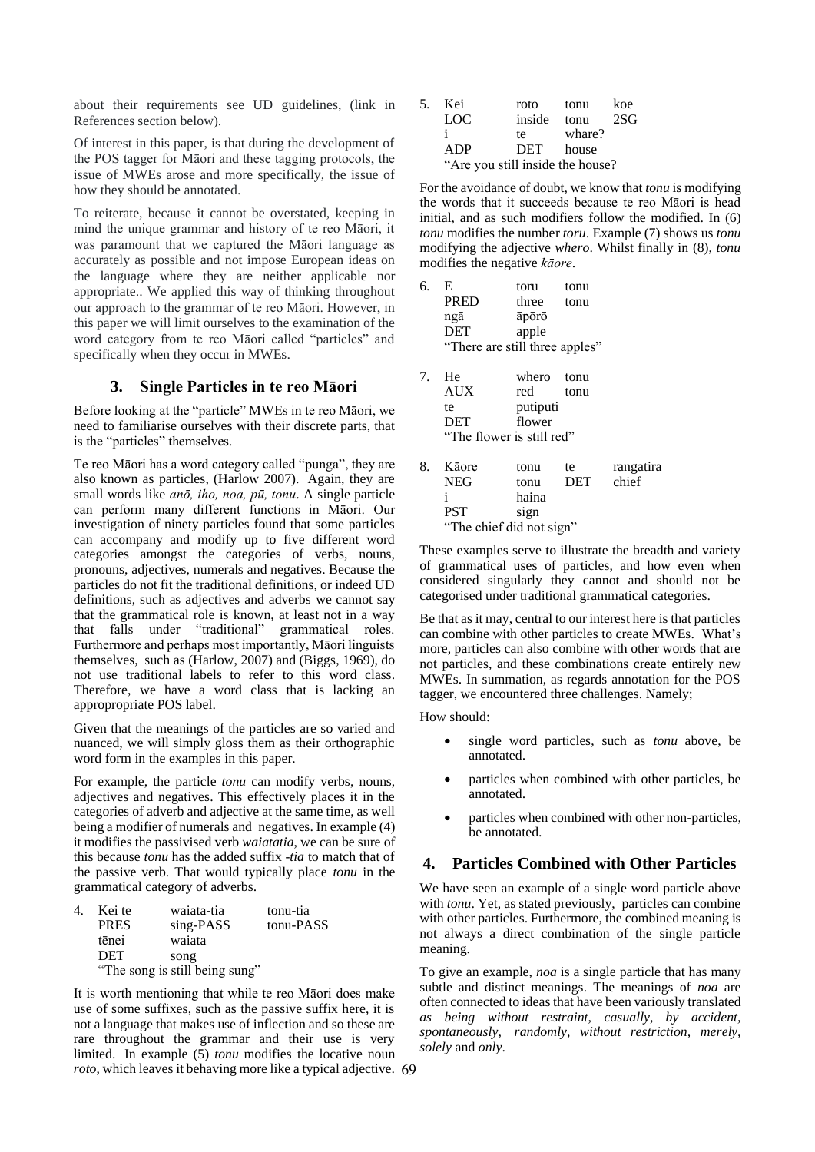about their requirements see UD guidelines, (link in References section below).

Of interest in this paper, is that during the development of the POS tagger for Māori and these tagging protocols, the issue of MWEs arose and more specifically, the issue of how they should be annotated.

To reiterate, because it cannot be overstated, keeping in mind the unique grammar and history of te reo Māori, it was paramount that we captured the Māori language as accurately as possible and not impose European ideas on the language where they are neither applicable nor appropriate.. We applied this way of thinking throughout our approach to the grammar of te reo Māori. However, in this paper we will limit ourselves to the examination of the word category from te reo Māori called "particles" and specifically when they occur in MWEs.

#### **3. Single Particles in te reo Māori**

Before looking at the "particle" MWEs in te reo Māori, we need to familiarise ourselves with their discrete parts, that is the "particles" themselves.

Te reo Māori has a word category called "punga", they are also known as particles, (Harlow 2007). Again, they are small words like *anō, iho, noa, pū, tonu*. A single particle can perform many different functions in Māori. Our investigation of ninety particles found that some particles can accompany and modify up to five different word categories amongst the categories of verbs, nouns, pronouns, adjectives, numerals and negatives. Because the particles do not fit the traditional definitions, or indeed UD definitions, such as adjectives and adverbs we cannot say that the grammatical role is known, at least not in a way that falls under "traditional" grammatical roles. Furthermore and perhaps most importantly, Māori linguists themselves, such as (Harlow, 2007) and (Biggs, 1969), do not use traditional labels to refer to this word class. Therefore, we have a word class that is lacking an appropropriate POS label.

Given that the meanings of the particles are so varied and nuanced, we will simply gloss them as their orthographic word form in the examples in this paper.

For example, the particle *tonu* can modify verbs, nouns, adjectives and negatives. This effectively places it in the categories of adverb and adjective at the same time, as well being a modifier of numerals and negatives. In example (4) it modifies the passivised verb *waiatatia*, we can be sure of this because *tonu* has the added suffix -*tia* to match that of the passive verb. That would typically place *tonu* in the grammatical category of adverbs.

| 4. | Kei te      | waiata-tia                     | tonu-tia  |
|----|-------------|--------------------------------|-----------|
|    | <b>PRES</b> | sing-PASS                      | tonu-PASS |
|    | tēnei       | waiata                         |           |
|    | <b>DET</b>  | song                           |           |
|    |             | "The song is still being sung" |           |

69 *roto*, which leaves it behaving more like a typical adjective. It is worth mentioning that while te reo Māori does make use of some suffixes, such as the passive suffix here, it is not a language that makes use of inflection and so these are rare throughout the grammar and their use is very limited. In example (5) *tonu* modifies the locative noun

| 5. | – Kei                            | roto      | tonu   | koe |
|----|----------------------------------|-----------|--------|-----|
|    | LOC                              | inside    | tonu   | 2SG |
|    | ÷                                | te        | whare? |     |
|    | ADP                              | DET house |        |     |
|    | "Are you still inside the house? |           |        |     |

For the avoidance of doubt, we know that *tonu* is modifying the words that it succeeds because te reo Māori is head initial, and as such modifiers follow the modified. In (6) *tonu* modifies the number *toru*. Example (7) shows us *tonu* modifying the adjective *whero*. Whilst finally in (8), *tonu* modifies the negative *kāore*.

| tonu                           |
|--------------------------------|
| tonu                           |
|                                |
|                                |
| "There are still three apples" |
|                                |

| 7. | He                        | whero tonu |      |
|----|---------------------------|------------|------|
|    | <b>AUX</b>                | red        | tonu |
|    | te                        | putiputi   |      |
|    | <b>DET</b>                | flower     |      |
|    | "The flower is still red" |            |      |

| 8. | Kāore      | tonu                     | te         | rangatira |
|----|------------|--------------------------|------------|-----------|
|    | NEG        | tonu                     | <b>DET</b> | chief     |
|    |            | haina                    |            |           |
|    | <b>PST</b> | sign                     |            |           |
|    |            | "The chief did not sign" |            |           |

These examples serve to illustrate the breadth and variety of grammatical uses of particles, and how even when considered singularly they cannot and should not be categorised under traditional grammatical categories.

Be that as it may, central to our interest here is that particles can combine with other particles to create MWEs. What's more, particles can also combine with other words that are not particles, and these combinations create entirely new MWEs. In summation, as regards annotation for the POS tagger, we encountered three challenges. Namely;

How should:

- single word particles, such as *tonu* above, be annotated.
- particles when combined with other particles, be annotated.
- particles when combined with other non-particles, be annotated.

## **4. Particles Combined with Other Particles**

We have seen an example of a single word particle above with *tonu*. Yet, as stated previously, particles can combine with other particles. Furthermore, the combined meaning is not always a direct combination of the single particle meaning.

To give an example, *noa* is a single particle that has many subtle and distinct meanings. The meanings of *noa* are often connected to ideas that have been variously translated *as being without restraint, casually, by accident, spontaneously, randomly, without restriction, merely, solely* and *only*.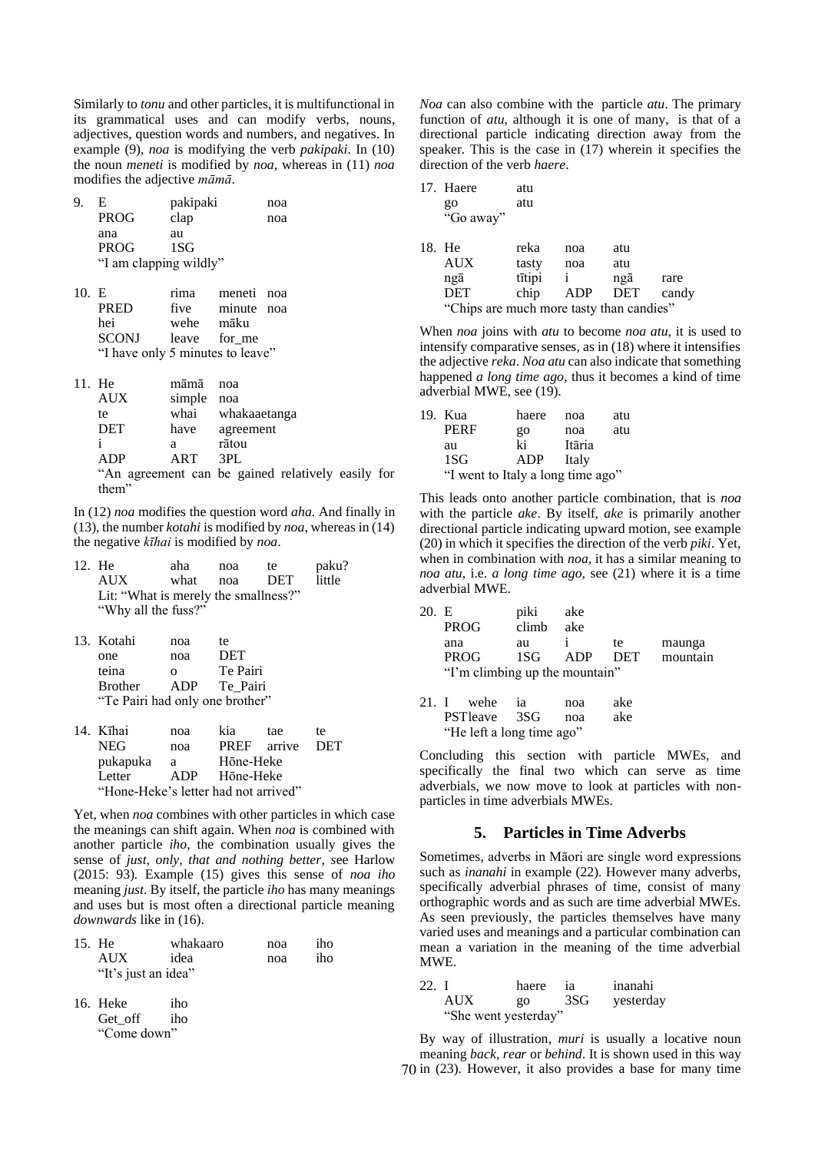Similarly to *tonu* and other particles, it is multifunctional in its grammatical uses and can modify verbs, nouns, adjectives, question words and numbers, and negatives. In example (9), *noa* is modifying the verb *pakipaki*. In (10) the noun *meneti* is modified by *noa,* whereas in (11) *noa* modifies the adjective *māmā*.

| 9. | E.<br><b>PROG</b>      | pakipaki<br>clap | noa<br>noa |
|----|------------------------|------------------|------------|
|    | ana                    | au               |            |
|    | <b>PROG</b>            | 1SG              |            |
|    | "I am clapping wildly" |                  |            |

| 10.E |                                  | rima         | meneti noa |  |
|------|----------------------------------|--------------|------------|--|
|      | PRED                             | five         | minute noa |  |
|      | hei                              | wehe māku    |            |  |
|      | <b>SCONJ</b>                     | leave for me |            |  |
|      | "I have only 5 minutes to leave" |              |            |  |

| 11. He     | māmā       | noa                                               |  |
|------------|------------|---------------------------------------------------|--|
| <b>AUX</b> | simple noa |                                                   |  |
| te         |            | whai whakaaetanga                                 |  |
| <b>DET</b> | have       | agreement                                         |  |
| Ť          | а          | rātou                                             |  |
| ADP        | ART        | 3PI.                                              |  |
|            |            | "An agreement can be gained relatively easily for |  |
| them"      |            |                                                   |  |

In (12) *noa* modifies the question word *aha*. And finally in (13), the number *kotahi* is modified by *noa*, whereas in (14) the negative *kīhai* is modified by *noa*.

| 12. He                               | aha      | noa | te. | paku?  |
|--------------------------------------|----------|-----|-----|--------|
| AUX.                                 | what noa |     | DET | little |
| Lit: "What is merely the smallness?" |          |     |     |        |
| "Why all the fuss?"                  |          |     |     |        |

| 13. Kotahi                      | noa      | te.        |
|---------------------------------|----------|------------|
| one                             | noa      | <b>DET</b> |
| teina                           | $\Omega$ | Te Pairi   |
| <b>Brother</b>                  | ADP      | Te Pairi   |
| "Te Pairi had only one brother" |          |            |
|                                 |          |            |

| 14. Kīhai                            | noa | kia         | tae | te.   |
|--------------------------------------|-----|-------------|-----|-------|
| NEG                                  | noa | PREF arrive |     | - DET |
| pukapuka                             | a   | Hōne-Heke   |     |       |
| Letter                               | ADP | Hōne-Heke   |     |       |
| "Hone-Heke's letter had not arrived" |     |             |     |       |

Yet, when *noa* combines with other particles in which case the meanings can shift again. When *noa* is combined with another particle *iho*, the combination usually gives the sense of *just, only, that and nothing better, s*ee Harlow (2015: 93)*.* Example (15) gives this sense of *noa iho*  meaning *just*. By itself, the particle *iho* has many meanings and uses but is most often a directional particle meaning *downwards* like in (16).

| 15. He              | whakaaro | noa | iho |
|---------------------|----------|-----|-----|
| <b>AUX</b>          | idea     | noa | iho |
| "It's just an idea" |          |     |     |

| 16. Heke    | iho |
|-------------|-----|
| Get off     | iho |
| "Come down" |     |

*Noa* can also combine with the particle *atu*. The primary function of *atu*, although it is one of many, is that of a directional particle indicating direction away from the speaker. This is the case in (17) wherein it specifies the direction of the verb *haere*.

|                                          | 17. Haere  | atu    |              |     |       |
|------------------------------------------|------------|--------|--------------|-----|-------|
|                                          | go         | atu    |              |     |       |
|                                          | "Go away"  |        |              |     |       |
|                                          | 18. He     | reka   | noa          | atu |       |
|                                          | <b>AUX</b> | tasty  | noa          | atu |       |
|                                          | ngā        | tītipi | $\mathbf{i}$ | ngā | rare  |
|                                          | <b>DET</b> | chip   | ADP DET      |     | candy |
| "Chips are much more tasty than candies" |            |        |              |     |       |

When *noa* joins with *atu* to become *noa atu,* it is used to intensify comparative senses, as in (18) where it intensifies the adjective *reka*. *Noa atu* can also indicate that something happened *a long time ago*, thus it becomes a kind of time adverbial MWE, see (19).

| 19. Kua                           | haere | noa    | atu |  |  |
|-----------------------------------|-------|--------|-----|--|--|
| PERF                              | QQ    | noa    | atu |  |  |
| au                                | ki    | Itāria |     |  |  |
| 1SG                               | ADP   | Italy  |     |  |  |
| "I went to Italy a long time ago" |       |        |     |  |  |

This leads onto another particle combination, that is *noa* with the particle *ake*. By itself, *ake* is primarily another directional particle indicating upward motion, see example (20) in which it specifies the direction of the verb *piki*. Yet, when in combination with *noa,* it has a similar meaning to *noa atu*, i.e. *a long time ago,* see (21) where it is a time adverbial MWE.

| 20. E |                                | piki  | ake |            |          |
|-------|--------------------------------|-------|-----|------------|----------|
|       | <b>PROG</b>                    | climb | ake |            |          |
|       | ana                            | au    |     | te.        | maunga   |
|       | <b>PROG</b>                    | 1SG - | ADP | <b>DET</b> | mountain |
|       | "I'm climbing up the mountain" |       |     |            |          |

| 21. I wehe ia             | noa | ake |
|---------------------------|-----|-----|
| PSTleave 3SG noa          |     | ake |
| "He left a long time ago" |     |     |

Concluding this section with particle MWEs, and specifically the final two which can serve as time adverbials, we now move to look at particles with nonparticles in time adverbials MWEs.

## **5. Particles in Time Adverbs**

Sometimes, adverbs in Māori are single word expressions such as *inanahi* in example (22). However many adverbs, specifically adverbial phrases of time, consist of many orthographic words and as such are time adverbial MWEs. As seen previously, the particles themselves have many varied uses and meanings and a particular combination can mean a variation in the meaning of the time adverbial MWE.

| 22. I |                      | haere | - ia | inanahi   |
|-------|----------------------|-------|------|-----------|
|       | <b>AUX</b>           | $g_0$ | 3SG  | yesterday |
|       | "She went yesterday" |       |      |           |

70 in (23). However, it also provides a base for many time By way of illustration*, muri* is usually a locative noun meaning *back, rear* or *behind*. It is shown used in this way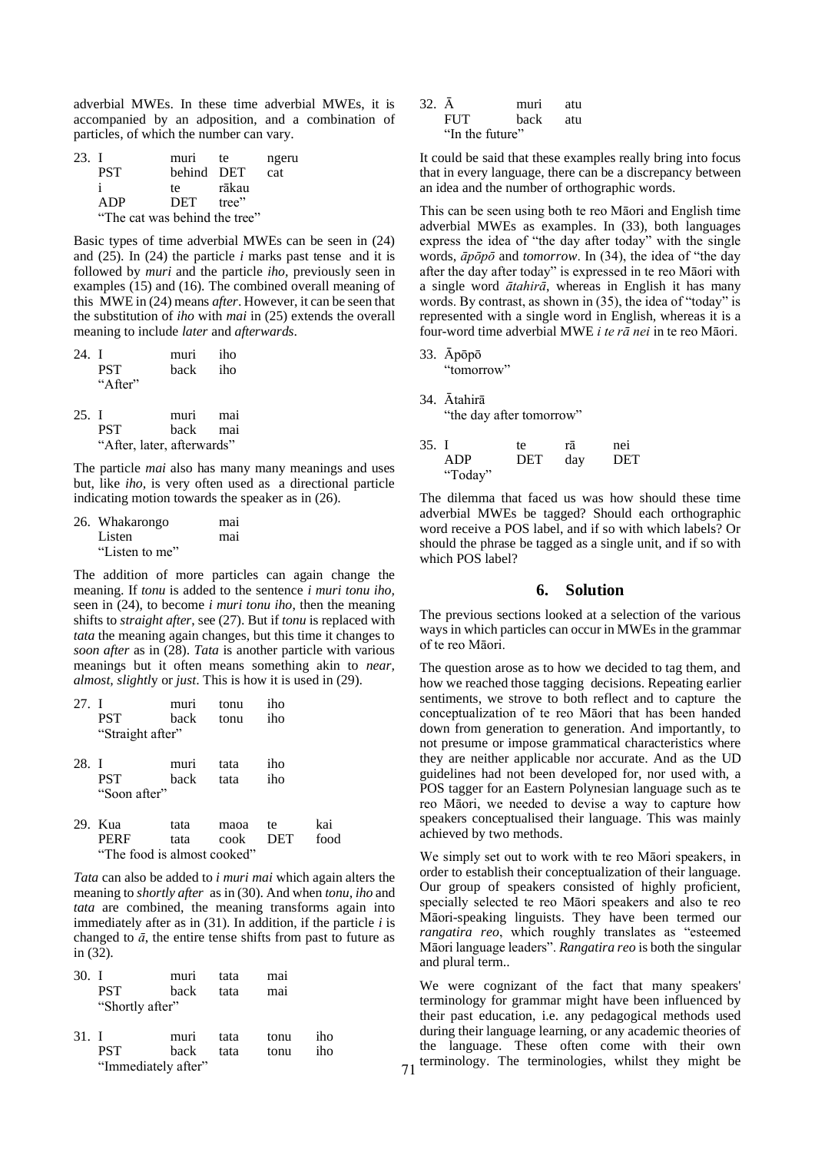adverbial MWEs. In these time adverbial MWEs, it is accompanied by an adposition, and a combination of particles, of which the number can vary.

| 23. I |                               | muri       | te.   | ngeru |
|-------|-------------------------------|------------|-------|-------|
|       | <b>PST</b>                    | behind DET |       | cat   |
|       |                               | te.        | rākau |       |
|       | ADP                           | DET tree"  |       |       |
|       | "The cat was behind the tree" |            |       |       |

Basic types of time adverbial MWEs can be seen in (24) and (25). In (24) the particle *i* marks past tense and it is followed by *muri* and the particle *iho,* previously seen in examples (15) and (16). The combined overall meaning of this MWE in (24) means *after*. However, it can be seen that the substitution of *iho* with *mai* in (25) extends the overall meaning to include *later* and *afterwards*.

| 24. I |                            | muri     | iho   |
|-------|----------------------------|----------|-------|
|       | <b>PST</b>                 | back iho |       |
|       | " $A$ fter"                |          |       |
| 25. I |                            | muri mai |       |
|       | <b>PST</b>                 | back     | — mai |
|       | "After, later, afterwards" |          |       |

The particle *mai* also has many many meanings and uses but, like *iho,* is very often used as a directional particle indicating motion towards the speaker as in (26).

| 26. Whakarongo | mai |
|----------------|-----|
| Listen         | mai |
| "Listen to me" |     |

The addition of more particles can again change the meaning. If *tonu* is added to the sentence *i muri tonu iho,*  seen in (24), to become *i muri tonu iho*, then the meaning shifts to *straight after*, see (27). But if *tonu* is replaced with *tata* the meaning again changes, but this time it changes to *soon after* as in (28). *Tata* is another particle with various meanings but it often means something akin to *near, almost, slightl*y or *just*. This is how it is used in (29).

| 27. I | <b>PST</b><br>"Straight after"                        | muri<br>back | tonu<br>tonu | iho<br>iho       |             |
|-------|-------------------------------------------------------|--------------|--------------|------------------|-------------|
| 28. I | <b>PST</b><br>"Soon after"                            | muri<br>back | tata<br>tata | iho<br>iho       |             |
|       | 29. Kua<br><b>PERF</b><br>"The food is almost cooked" | tata<br>tata | maoa<br>cook | te<br><b>DET</b> | kai<br>food |

*Tata* can also be added to *i muri mai* which again alters the meaning to *shortly after* as in (30). And when *tonu, iho* and *tata* are combined, the meaning transforms again into immediately after as in (31). In addition, if the particle *i* is changed to  $\bar{a}$ , the entire tense shifts from past to future as in (32).

| 30. I |                 | muri                | tata | mai  |     |
|-------|-----------------|---------------------|------|------|-----|
|       | <b>PST</b>      | back                | tata | mai  |     |
|       | "Shortly after" |                     |      |      |     |
| 31. I |                 | muri                | tata | tonu | iho |
|       | <b>PST</b>      | back                | tata | tonu | iho |
|       |                 | "Immediately after" |      |      |     |

| $32. \bar{A}$ |                 | muri | atu |
|---------------|-----------------|------|-----|
|               | <b>FUT</b>      | hack | atu |
|               | "In the future" |      |     |

It could be said that these examples really bring into focus that in every language, there can be a discrepancy between an idea and the number of orthographic words.

This can be seen using both te reo Māori and English time adverbial MWEs as examples. In (33), both languages express the idea of "the day after today" with the single words, *āpōpō* and *tomorrow*. In (34), the idea of "the day after the day after today" is expressed in te reo Māori with a single word *ātahirā*, whereas in English it has many words. By contrast, as shown in (35), the idea of "today" is represented with a single word in English, whereas it is a four-word time adverbial MWE *i te rā nei* in te reo Māori.

33. Āpōpō "tomorrow"

34. Ātahirā "the day after tomorrow"

| 35. I |         | te.        | ra  | ne <sub>1</sub> |
|-------|---------|------------|-----|-----------------|
|       | ADP     | <b>DET</b> | day | <b>DET</b>      |
|       | "Today" |            |     |                 |

The dilemma that faced us was how should these time adverbial MWEs be tagged? Should each orthographic word receive a POS label, and if so with which labels? Or should the phrase be tagged as a single unit, and if so with which POS label?

#### **6. Solution**

The previous sections looked at a selection of the various ways in which particles can occur in MWEs in the grammar of te reo Māori.

The question arose as to how we decided to tag them, and how we reached those tagging decisions. Repeating earlier sentiments, we strove to both reflect and to capture the conceptualization of te reo Māori that has been handed down from generation to generation. And importantly, to not presume or impose grammatical characteristics where they are neither applicable nor accurate. And as the UD guidelines had not been developed for, nor used with, a POS tagger for an Eastern Polynesian language such as te reo Māori, we needed to devise a way to capture how speakers conceptualised their language. This was mainly achieved by two methods.

We simply set out to work with te reo Māori speakers, in order to establish their conceptualization of their language. Our group of speakers consisted of highly proficient, specially selected te reo Māori speakers and also te reo Māori-speaking linguists. They have been termed our *rangatira reo*, which roughly translates as "esteemed Māori language leaders". *Rangatira reo* is both the singular and plural term..

We were cognizant of the fact that many speakers' terminology for grammar might have been influenced by their past education, i.e. any pedagogical methods used during their language learning, or any academic theories of the language. These often come with their own terminology. The terminologies, whilst they might be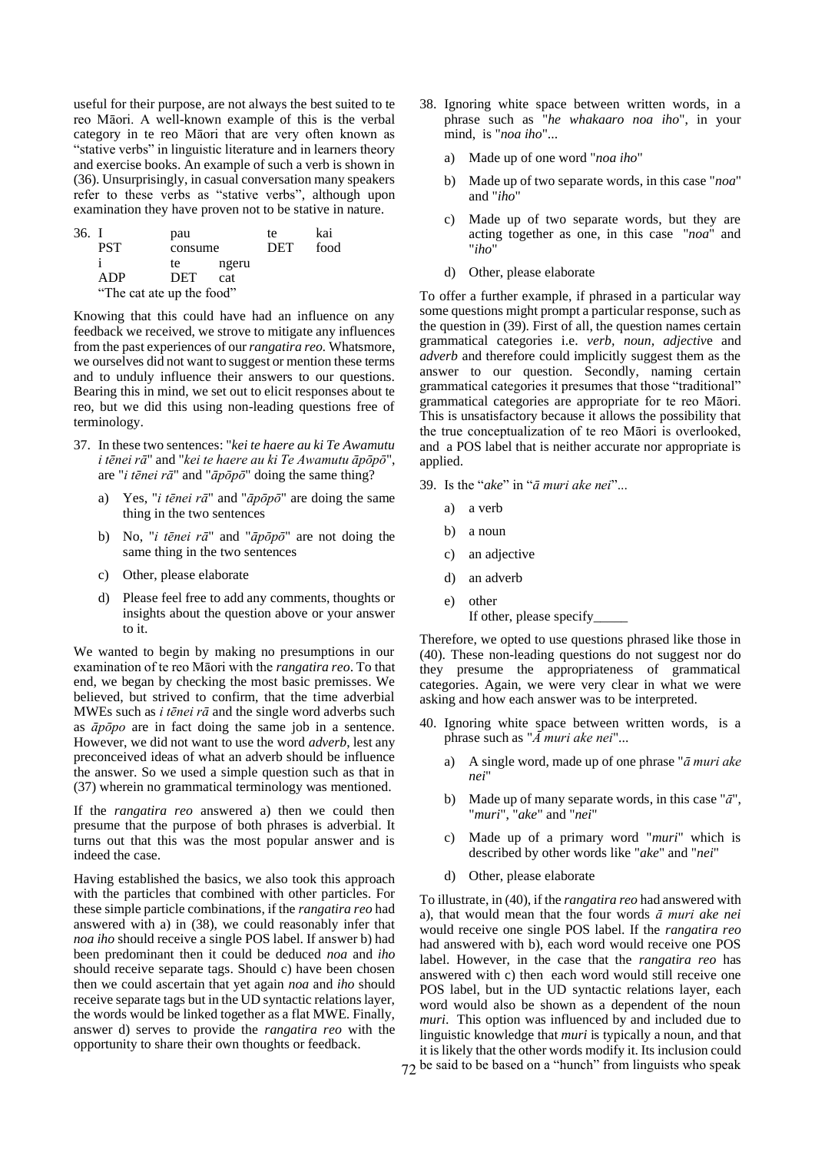useful for their purpose, are not always the best suited to te reo Māori. A well-known example of this is the verbal category in te reo Māori that are very often known as "stative verbs" in linguistic literature and in learners theory and exercise books. An example of such a verb is shown in (36). Unsurprisingly, in casual conversation many speakers refer to these verbs as "stative verbs", although upon examination they have proven not to be stative in nature.

| 36. I |                           | pau     |       | te  | kai  |
|-------|---------------------------|---------|-------|-----|------|
|       | <b>PST</b>                | consume |       | DET | food |
|       |                           | te      | ngeru |     |      |
|       | ADP                       | DET     | cat   |     |      |
|       | "The cat ate up the food" |         |       |     |      |

Knowing that this could have had an influence on any feedback we received, we strove to mitigate any influences from the past experiences of our *rangatira reo.* Whatsmore, we ourselves did not want to suggest or mention these terms and to unduly influence their answers to our questions. Bearing this in mind, we set out to elicit responses about te reo, but we did this using non-leading questions free of terminology.

- 37. In these two sentences: "*kei te haere au ki Te Awamutu i tēnei rā*" and "*kei te haere au ki Te Awamutu āpōpō*", are "*i tēnei rā*" and "*āpōpō*" doing the same thing?
	- a) Yes, "*i tēnei rā*" and "*āpōpō*" are doing the same thing in the two sentences
	- b) No, "*i tēnei rā*" and "*āpōpō*" are not doing the same thing in the two sentences
	- c) Other, please elaborate
	- d) Please feel free to add any comments, thoughts or insights about the question above or your answer to it.

We wanted to begin by making no presumptions in our examination of te reo Māori with the *rangatira reo*. To that end, we began by checking the most basic premisses. We believed, but strived to confirm, that the time adverbial MWEs such as *i tēnei rā* and the single word adverbs such as *āpōpo* are in fact doing the same job in a sentence. However, we did not want to use the word *adverb*, lest any preconceived ideas of what an adverb should be influence the answer. So we used a simple question such as that in (37) wherein no grammatical terminology was mentioned.

If the *rangatira reo* answered a) then we could then presume that the purpose of both phrases is adverbial. It turns out that this was the most popular answer and is indeed the case.

Having established the basics, we also took this approach with the particles that combined with other particles. For these simple particle combinations, if the *rangatira reo* had answered with a) in (38), we could reasonably infer that *noa iho* should receive a single POS label. If answer b) had been predominant then it could be deduced *noa* and *iho* should receive separate tags. Should c) have been chosen then we could ascertain that yet again *noa* and *iho* should receive separate tags but in the UD syntactic relations layer, the words would be linked together as a flat MWE. Finally, answer d) serves to provide the *rangatira reo* with the opportunity to share their own thoughts or feedback.

- 38. Ignoring white space between written words, in a phrase such as "*he whakaaro noa iho*", in your mind, is "*noa iho*"...
	- a) Made up of one word "*noa iho*"
	- b) Made up of two separate words, in this case "*noa*" and "*iho*"
	- c) Made up of two separate words, but they are acting together as one, in this case "*noa*" and "*iho*"
	- d) Other, please elaborate

To offer a further example, if phrased in a particular way some questions might prompt a particular response, such as the question in (39). First of all, the question names certain grammatical categories i.e. *verb, noun, adjectiv*e and *adverb* and therefore could implicitly suggest them as the answer to our question. Secondly, naming certain grammatical categories it presumes that those "traditional" grammatical categories are appropriate for te reo Māori. This is unsatisfactory because it allows the possibility that the true conceptualization of te reo Māori is overlooked, and a POS label that is neither accurate nor appropriate is applied.

- 39. Is the "*ake*" in "*ā muri ake nei*"...
	- a) a verb
	- b) a noun
	- c) an adjective
	- d) an adverb
	- e) other
	- If other, please specify\_\_\_\_\_

Therefore, we opted to use questions phrased like those in (40). These non-leading questions do not suggest nor do they presume the appropriateness of grammatical categories. Again, we were very clear in what we were asking and how each answer was to be interpreted.

- 40. Ignoring white space between written words, is a phrase such as "*Ā muri ake nei*"...
	- a) A single word, made up of one phrase "*ā muri ake nei*"
	- b) Made up of many separate words, in this case "*ā*", "*muri*", "*ake*" and "*nei*"
	- c) Made up of a primary word "*muri*" which is described by other words like "*ake*" and "*nei*"
	- d) Other, please elaborate

72 be said to be based on a "hunch" from linguists who speak To illustrate, in (40), if the *rangatira reo* had answered with a), that would mean that the four words *ā muri ake nei* would receive one single POS label. If the *rangatira reo* had answered with b), each word would receive one POS label. However, in the case that the *rangatira reo* has answered with c) then each word would still receive one POS label, but in the UD syntactic relations layer, each word would also be shown as a dependent of the noun *muri*. This option was influenced by and included due to linguistic knowledge that *muri* is typically a noun, and that it is likely that the other words modify it. Its inclusion could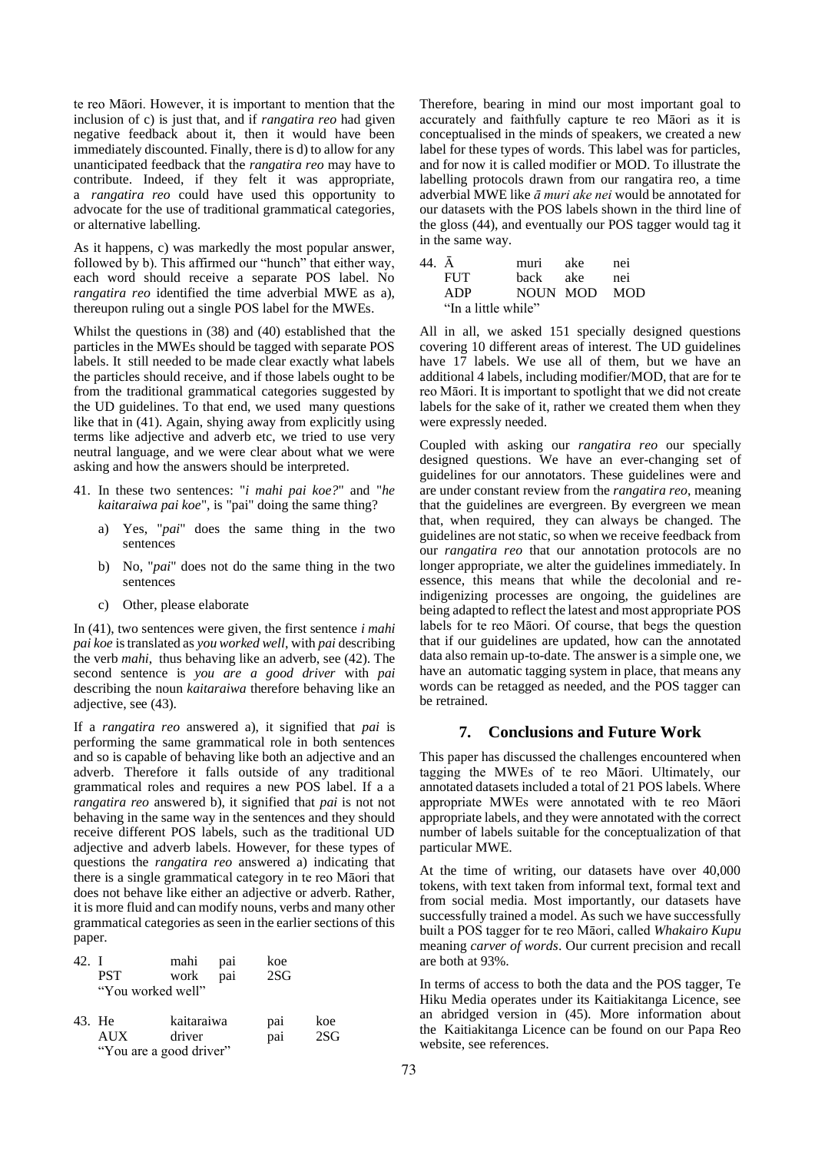te reo Māori. However, it is important to mention that the inclusion of c) is just that, and if *rangatira reo* had given negative feedback about it, then it would have been immediately discounted. Finally, there is d) to allow for any unanticipated feedback that the *rangatira reo* may have to contribute. Indeed, if they felt it was appropriate, a *rangatira reo* could have used this opportunity to advocate for the use of traditional grammatical categories, or alternative labelling.

As it happens, c) was markedly the most popular answer, followed by b). This affirmed our "hunch" that either way, each word should receive a separate POS label. No *rangatira reo* identified the time adverbial MWE as a), thereupon ruling out a single POS label for the MWEs.

Whilst the questions in (38) and (40) established that the particles in the MWEs should be tagged with separate POS labels. It still needed to be made clear exactly what labels the particles should receive, and if those labels ought to be from the traditional grammatical categories suggested by the UD guidelines. To that end, we used many questions like that in (41). Again, shying away from explicitly using terms like adjective and adverb etc, we tried to use very neutral language, and we were clear about what we were asking and how the answers should be interpreted.

- 41. In these two sentences: "*i mahi pai koe?*" and "*he kaitaraiwa pai koe*", is "pai" doing the same thing?
	- a) Yes, "*pai*" does the same thing in the two sentences
	- b) No, "*pai*" does not do the same thing in the two sentences
	- c) Other, please elaborate

In (41), two sentences were given, the first sentence *i mahi pai koe* is translated as *you worked well*, with *pai* describing the verb *mahi*, thus behaving like an adverb, see (42). The second sentence is *you are a good driver* with *pai* describing the noun *kaitaraiwa* therefore behaving like an adjective, see (43).

If a *rangatira reo* answered a), it signified that *pai* is performing the same grammatical role in both sentences and so is capable of behaving like both an adjective and an adverb. Therefore it falls outside of any traditional grammatical roles and requires a new POS label. If a a *rangatira reo* answered b), it signified that *pai* is not not behaving in the same way in the sentences and they should receive different POS labels, such as the traditional UD adjective and adverb labels. However, for these types of questions the *rangatira reo* answered a) indicating that there is a single grammatical category in te reo Māori that does not behave like either an adjective or adverb. Rather, it is more fluid and can modify nouns, verbs and many other grammatical categories as seen in the earlier sections of this paper.

| 42. I | <b>PST</b><br>"You worked well"                 | mahi<br>work         | pa <sub>1</sub><br>pai | koe<br>2SG |            |
|-------|-------------------------------------------------|----------------------|------------------------|------------|------------|
|       | 43. He<br><b>AUX</b><br>"You are a good driver" | kaitaraiwa<br>driver |                        | pai<br>pai | koe<br>2SG |

Therefore, bearing in mind our most important goal to accurately and faithfully capture te reo Māori as it is conceptualised in the minds of speakers, we created a new label for these types of words. This label was for particles, and for now it is called modifier or MOD. To illustrate the labelling protocols drawn from our rangatira reo, a time adverbial MWE like *ā muri ake nei* would be annotated for our datasets with the POS labels shown in the third line of the gloss (44), and eventually our POS tagger would tag it in the same way.

| 44. Ā |                     | muri         | ake   | nei |
|-------|---------------------|--------------|-------|-----|
|       | <b>FUT</b>          | back         | – ake | nei |
|       | ADP                 | NOUN MOD MOD |       |     |
|       | "In a little while" |              |       |     |

All in all, we asked 151 specially designed questions covering 10 different areas of interest. The UD guidelines have 17 labels. We use all of them, but we have an additional 4 labels, including modifier/MOD, that are for te reo Māori. It is important to spotlight that we did not create labels for the sake of it, rather we created them when they were expressly needed.

Coupled with asking our *rangatira reo* our specially designed questions. We have an ever-changing set of guidelines for our annotators. These guidelines were and are under constant review from the *rangatira reo*, meaning that the guidelines are evergreen. By evergreen we mean that, when required, they can always be changed. The guidelines are not static, so when we receive feedback from our *rangatira reo* that our annotation protocols are no longer appropriate, we alter the guidelines immediately. In essence, this means that while the decolonial and reindigenizing processes are ongoing, the guidelines are being adapted to reflect the latest and most appropriate POS labels for te reo Māori. Of course, that begs the question that if our guidelines are updated, how can the annotated data also remain up-to-date. The answer is a simple one, we have an automatic tagging system in place, that means any words can be retagged as needed, and the POS tagger can be retrained.

## **7. Conclusions and Future Work**

This paper has discussed the challenges encountered when tagging the MWEs of te reo Māori. Ultimately, our annotated datasets included a total of 21 POS labels. Where appropriate MWEs were annotated with te reo Māori appropriate labels, and they were annotated with the correct number of labels suitable for the conceptualization of that particular MWE.

At the time of writing, our datasets have over 40,000 tokens, with text taken from informal text, formal text and from social media. Most importantly, our datasets have successfully trained a model. As such we have successfully built a POS tagger for te reo Māori, called *Whakairo Kupu*  meaning *carver of words*. Our current precision and recall are both at 93%.

In terms of access to both the data and the POS tagger, Te Hiku Media operates under its Kaitiakitanga Licence, see an abridged version in (45). More information about the Kaitiakitanga Licence can be found on our Papa Reo website, see references.